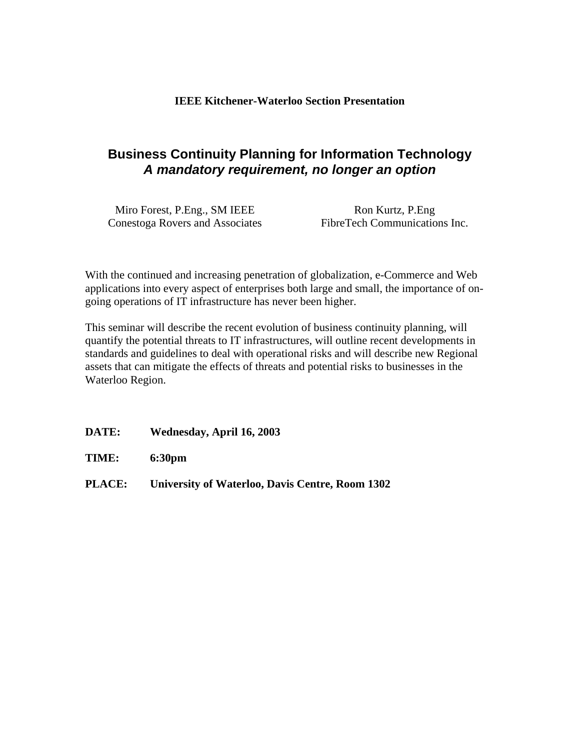## **Business Continuity Planning for Information Technology** *A mandatory requirement, no longer an option*

Miro Forest, P.Eng., SM IEEE Ron Kurtz, P.Eng Conestoga Rovers and Associates FibreTech Communications Inc.

With the continued and increasing penetration of globalization, e-Commerce and Web applications into every aspect of enterprises both large and small, the importance of ongoing operations of IT infrastructure has never been higher.

This seminar will describe the recent evolution of business continuity planning, will quantify the potential threats to IT infrastructures, will outline recent developments in standards and guidelines to deal with operational risks and will describe new Regional assets that can mitigate the effects of threats and potential risks to businesses in the Waterloo Region.

**DATE: Wednesday, April 16, 2003**

**TIME: 6:30pm**

**PLACE: University of Waterloo, Davis Centre, Room 1302**